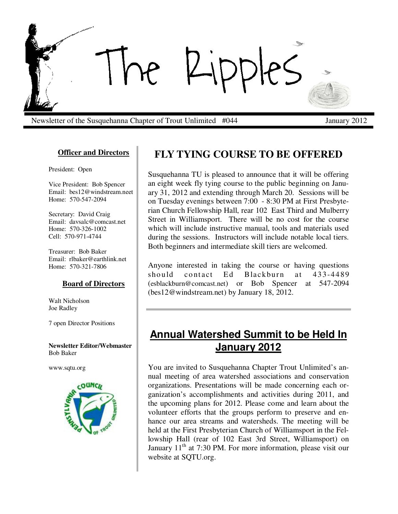

Newsletter of the Susquehanna Chapter of Trout Unlimited #044 January 2012

### **Officer and Directors**

President: Open

Vice President: Bob Spencer Email: bes12@windstream.neet Home: 570-547-2094

Secretary: David Craig Email: davsalc@comcast.net Home: 570-326-1002 Cell: 570-971-4744

Treasurer: Bob Baker Email: rlbaker@earthlink.net Home: 570-321-7806

#### **Board of Directors**

Walt Nicholson Joe Radley

7 open Director Positions

#### **Newsletter Editor/Webmaster**  Bob Baker

www.sqtu.org



# **FLY TYING COURSE TO BE OFFERED**

Susquehanna TU is pleased to announce that it will be offering an eight week fly tying course to the public beginning on January 31, 2012 and extending through March 20. Sessions will be on Tuesday evenings between 7:00 - 8:30 PM at First Presbyterian Church Fellowship Hall, rear 102 East Third and Mulberry Street in Williamsport. There will be no cost for the course which will include instructive manual, tools and materials used during the sessions. Instructors will include notable local tiers. Both beginners and intermediate skill tiers are welcomed.

Anyone interested in taking the course or having questions should contact Ed Blackburn at 433-4489 (esblackburn@comcast.net) or Bob Spencer at 547-2094 (bes12@windstream.net) by January 18, 2012.

# **Annual Watershed Summit to be Held In January 2012**

You are invited to Susquehanna Chapter Trout Unlimited's annual meeting of area watershed associations and conservation organizations. Presentations will be made concerning each organization's accomplishments and activities during 2011, and the upcoming plans for 2012. Please come and learn about the volunteer efforts that the groups perform to preserve and enhance our area streams and watersheds. The meeting will be held at the First Presbyterian Church of Williamsport in the Fellowship Hall (rear of 102 East 3rd Street, Williamsport) on January  $11<sup>th</sup>$  at 7:30 PM. For more information, please visit our website at SQTU.org.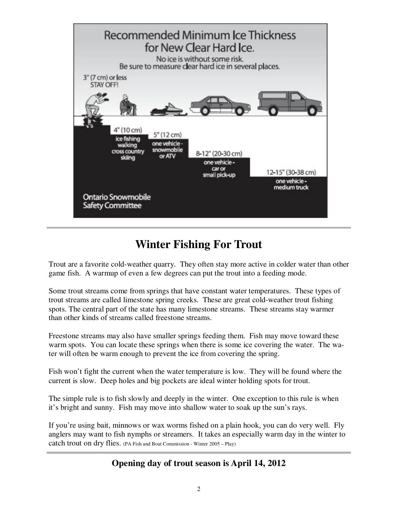

# **Winter Fishing For Trout**

Trout are a favorite cold-weather quarry. They often stay more active in colder water than other game fish. A warmup of even a few degrees can put the trout into a feeding mode.

Some trout streams come from springs that have constant water temperatures. These types of trout streams are called limestone spring creeks. These are great cold-weather trout fishing spots. The central part of the state has many limestone streams. These streams stay warmer than other kinds of streams called freestone streams.

Freestone streams may also have smaller springs feeding them. Fish may move toward these warm spots. You can locate these springs when there is some ice covering the water. The water will often be warm enough to prevent the ice from covering the spring.

Fish won't fight the current when the water temperature is low. They will be found where the current is slow. Deep holes and big pockets are ideal winter holding spots for trout.

The simple rule is to fish slowly and deeply in the winter. One exception to this rule is when it's bright and sunny. Fish may move into shallow water to soak up the sun's rays.

If you're using bait, minnows or wax worms fished on a plain hook, you can do very well. Fly anglers may want to fish nymphs or streamers. It takes an especially warm day in the winter to catch trout on dry flies. (PA Fish and Boat Commission - Winter 2005 – Play)

### **Opening day of trout season is April 14, 2012**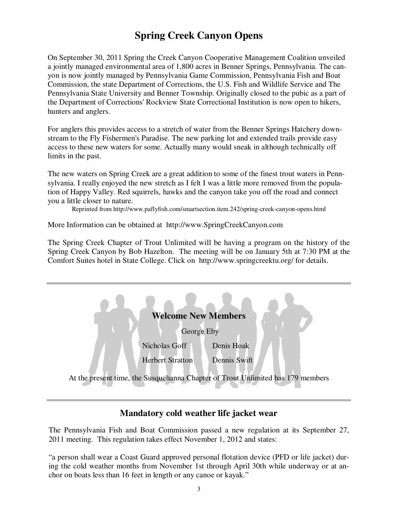## **Spring Creek Canyon Opens**

On September 30, 2011 Spring the Creek Canyon Cooperative Management Coalition unveiled a jointly managed environmental area of 1,800 acres in Benner Springs, Pennsylvania. The canyon is now jointly managed by Pennsylvania Game Commission, Pennsylvania Fish and Boat Commission, the state Department of Corrections, the U.S. Fish and Wildlife Service and The Pennsylvania State University and Benner Township. Originally closed to the pubic as a part of the Department of Corrections' Rockview State Correctional Institution is now open to hikers, hunters and anglers.

For anglers this provides access to a stretch of water from the Benner Springs Hatchery downstream to the Fly Fishermen's Paradise. The new parking lot and extended trails provide easy access to these new waters for some. Actually many would sneak in although technically off limits in the past.

The new waters on Spring Creek are a great addition to some of the finest trout waters in Pennsylvania. I really enjoyed the new stretch as I felt I was a little more removed from the population of Happy Valley. Red squirrels, hawks and the canyon take you off the road and connect you a little closer to nature.

Reprinted from http://www.paflyfish.com/smartsection.item.242/spring-creek-canyon-opens.html

More Information can be obtained at http://www.SpringCreekCanyon.com

The Spring Creek Chapter of Trout Unlimited will be having a program on the history of the Spring Creek Canyon by Bob Hazelton. The meeting will be on January 5th at 7:30 PM at the Comfort Suites hotel in State College. Click on http://www.springcreektu.org/ for details.

| <b>Welcome New Members</b>                                                      |                         |              |
|---------------------------------------------------------------------------------|-------------------------|--------------|
| George Eby                                                                      |                         |              |
|                                                                                 | Nicholas Goff           | Denis Hoak   |
|                                                                                 | <b>Herbert Stratton</b> | Dennis Swift |
| At the present time, the Susquehanna Chapter of Trout Unlimited has 179 members |                         |              |

### **Mandatory cold weather life jacket wear**

The Pennsylvania Fish and Boat Commission passed a new regulation at its September 27, 2011 meeting. This regulation takes effect November 1, 2012 and states:

"a person shall wear a Coast Guard approved personal flotation device (PFD or life jacket) during the cold weather months from November 1st through April 30th while underway or at anchor on boats less than 16 feet in length or any canoe or kayak."